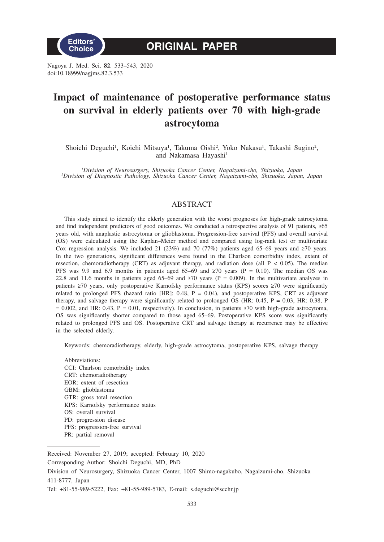

Nagoya J. Med. Sci. **82**. 533–543, 2020 doi:10.18999/nagjms.82.3.533

# **Impact of maintenance of postoperative performance status on survival in elderly patients over 70 with high-grade astrocytoma**

Shoichi Deguchi<sup>1</sup>, Koichi Mitsuya<sup>1</sup>, Takuma Oishi<sup>2</sup>, Yoko Nakasu<sup>1</sup>, Takashi Sugino<sup>2</sup>, and Nakamasa Hayashi<sup>1</sup>

*1 Division of Neurosurgery, Shizuoka Cancer Center, Nagaizumi-cho, Shizuoka, Japan <sup>2</sup> Division of Diagnostic Pathology, Shizuoka Cancer Center, Nagaizumi-cho, Shizuoka, Japan, Japan*

## ABSTRACT

This study aimed to identify the elderly generation with the worst prognoses for high-grade astrocytoma and find independent predictors of good outcomes. We conducted a retrospective analysis of 91 patients, ≥65 years old, with anaplastic astrocytoma or glioblastoma. Progression-free survival (PFS) and overall survival (OS) were calculated using the Kaplan–Meier method and compared using log-rank test or multivariate Cox regression analysis. We included 21 (23%) and 70 (77%) patients aged 65–69 years and ≥70 years. In the two generations, significant differences were found in the Charlson comorbidity index, extent of resection, chemoradiotherapy (CRT) as adjuvant therapy, and radiation dose (all  $P < 0.05$ ). The median PFS was 9.9 and 6.9 months in patients aged 65–69 and  $\geq 70$  years (P = 0.10). The median OS was 22.8 and 11.6 months in patients aged 65–69 and  $\geq 70$  years (P = 0.009). In the multivariate analyzes in patients ≥70 years, only postoperative Karnofsky performance status (KPS) scores ≥70 were significantly related to prolonged PFS (hazard ratio [HR]: 0.48, P = 0.04), and postoperative KPS, CRT as adjuvant therapy, and salvage therapy were significantly related to prolonged OS (HR: 0.45, P = 0.03, HR: 0.38, P = 0.002, and HR: 0.43, P = 0.01, respectively). In conclusion, in patients  $\geq$ 70 with high-grade astrocytoma, OS was significantly shorter compared to those aged 65–69. Postoperative KPS score was significantly related to prolonged PFS and OS. Postoperative CRT and salvage therapy at recurrence may be effective in the selected elderly.

Keywords: chemoradiotherapy, elderly, high-grade astrocytoma, postoperative KPS, salvage therapy

Abbreviations: CCI: Charlson comorbidity index CRT: chemoradiotherapy EOR: extent of resection GBM: glioblastoma GTR: gross total resection KPS: Karnofsky performance status OS: overall survival PD: progression disease PFS: progression-free survival PR: partial removal

Received: November 27, 2019; accepted: February 10, 2020

Corresponding Author: Shoichi Deguchi, MD, PhD

Division of Neurosurgery, Shizuoka Cancer Center, 1007 Shimo-nagakubo, Nagaizumi-cho, Shizuoka 411-8777, Japan

Tel: +81-55-989-5222, Fax: +81-55-989-5783, E-mail: s.deguchi@scchr.jp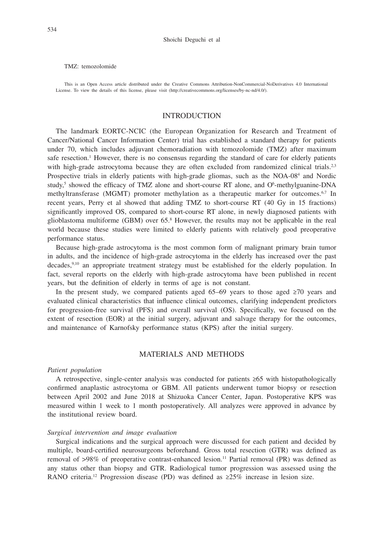#### TMZ: temozolomide

This is an Open Access article distributed under the Creative Commons Attribution-NonCommercial-NoDerivatives 4.0 International License. To view the details of this license, please visit (http://creativecommons.org/licenses/by-nc-nd/4.0/).

## INTRODUCTION

The landmark EORTC-NCIC (the European Organization for Research and Treatment of Cancer/National Cancer Information Center) trial has established a standard therapy for patients under 70, which includes adjuvant chemoradiation with temozolomide (TMZ) after maximum safe resection.<sup>1</sup> However, there is no consensus regarding the standard of care for elderly patients with high-grade astrocytoma because they are often excluded from randomized clinical trials.<sup>2,3</sup> Prospective trials in elderly patients with high-grade gliomas, such as the NOA-08<sup>4</sup> and Nordic study,<sup>5</sup> showed the efficacy of TMZ alone and short-course RT alone, and O<sup>6</sup>-methylguanine-DNA methyltransferase (MGMT) promoter methylation as a therapeutic marker for outcomes.<sup>6,7</sup> In recent years, Perry et al showed that adding TMZ to short-course RT (40 Gy in 15 fractions) significantly improved OS, compared to short-course RT alone, in newly diagnosed patients with glioblastoma multiforme (GBM) over 65.8 However, the results may not be applicable in the real world because these studies were limited to elderly patients with relatively good preoperative performance status.

Because high-grade astrocytoma is the most common form of malignant primary brain tumor in adults, and the incidence of high-grade astrocytoma in the elderly has increased over the past decades,9,10 an appropriate treatment strategy must be established for the elderly population. In fact, several reports on the elderly with high-grade astrocytoma have been published in recent years, but the definition of elderly in terms of age is not constant.

In the present study, we compared patients aged 65–69 years to those aged  $\geq 70$  years and evaluated clinical characteristics that influence clinical outcomes, clarifying independent predictors for progression-free survival (PFS) and overall survival (OS). Specifically, we focused on the extent of resection (EOR) at the initial surgery, adjuvant and salvage therapy for the outcomes, and maintenance of Karnofsky performance status (KPS) after the initial surgery.

## MATERIALS AND METHODS

#### *Patient population*

A retrospective, single-center analysis was conducted for patients ≥65 with histopathologically confirmed anaplastic astrocytoma or GBM. All patients underwent tumor biopsy or resection between April 2002 and June 2018 at Shizuoka Cancer Center, Japan. Postoperative KPS was measured within 1 week to 1 month postoperatively. All analyzes were approved in advance by the institutional review board.

#### *Surgical intervention and image evaluation*

Surgical indications and the surgical approach were discussed for each patient and decided by multiple, board-certified neurosurgeons beforehand. Gross total resection (GTR) was defined as removal of >98% of preoperative contrast-enhanced lesion.<sup>11</sup> Partial removal (PR) was defined as any status other than biopsy and GTR. Radiological tumor progression was assessed using the RANO criteria.<sup>12</sup> Progression disease (PD) was defined as  $\geq 25\%$  increase in lesion size.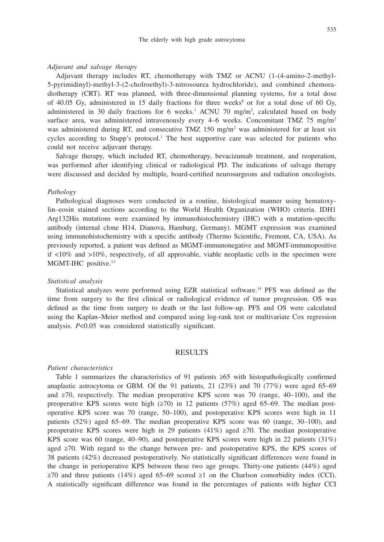#### *Adjuvant and salvage therapy*

Adjuvant therapy includes RT, chemotherapy with TMZ or ACNU (1-(4-amino-2-methyl-5-pyrimidinyl)-methyl-3-(2-cholroethyl)-3-nitrosourea hydrochloride), and combined chemoradiotherapy (CRT). RT was planned, with three-dimensional planning systems, for a total dose of 40.05 Gy, administered in 15 daily fractions for three weeks<sup>8</sup> or for a total dose of 60 Gy, administered in 30 daily fractions for 6 weeks.<sup>1</sup> ACNU 70 mg/m<sup>2</sup>, calculated based on body surface area, was administered intravenously every  $4-6$  weeks. Concomitant TMZ 75 mg/m<sup>2</sup> was administered during RT, and consecutive TMZ 150 mg/m<sup>2</sup> was administered for at least six cycles according to Stupp's protocol.<sup>1</sup> The best supportive care was selected for patients who could not receive adjuvant therapy.

Salvage therapy, which included RT, chemotherapy, bevacizumab treatment, and reoperation, was performed after identifying clinical or radiological PD. The indications of salvage therapy were discussed and decided by multiple, board-certified neurosurgeons and radiation oncologists.

#### *Pathology*

Pathological diagnoses were conducted in a routine, histological manner using hematoxylin–eosin stained sections according to the World Health Organization (WHO) criteria. IDH1 Arg132His mutations were examined by immunohistochemistry (IHC) with a mutation-specific antibody (internal clone H14, Dianova, Hamburg, Germany). MGMT expression was examined using immunohistochemistry with a specific antibody (Thermo Scientific, Fremont, CA, USA). As previously reported, a patient was defined as MGMT-immunonegative and MGMT-immunopositive if <10% and >10%, respectively, of all approvable, viable neoplastic cells in the specimen were MGMT-IHC positive.<sup>13</sup>

#### *Statistical analysis*

Statistical analyzes were performed using EZR statistical software.14 PFS was defined as the time from surgery to the first clinical or radiological evidence of tumor progression. OS was defined as the time from surgery to death or the last follow-up. PFS and OS were calculated using the Kaplan–Meier method and compared using log-rank test or multivariate Cox regression analysis. *P*<0.05 was considered statistically significant.

## RESULTS

#### *Patient characteristics*

Table 1 summarizes the characteristics of 91 patients ≥65 with histopathologically confirmed anaplastic astrocytoma or GBM. Of the 91 patients, 21  $(23%)$  and 70  $(77%)$  were aged 65–69 and ≥70, respectively. The median preoperative KPS score was 70 (range, 40–100), and the preoperative KPS scores were high (≥70) in 12 patients (57%) aged 65–69. The median postoperative KPS score was 70 (range, 50–100), and postoperative KPS scores were high in 11 patients (52%) aged 65–69. The median preoperative KPS score was 60 (range, 30–100), and preoperative KPS scores were high in 29 patients  $(41\%)$  aged  $\geq 70$ . The median postoperative KPS score was 60 (range, 40–90), and postoperative KPS scores were high in 22 patients (31%) aged ≥70. With regard to the change between pre- and postoperative KPS, the KPS scores of 38 patients (42%) decreased postoperatively. No statistically significant differences were found in the change in perioperative KPS between these two age groups. Thirty-one patients (44%) aged  $\geq$ 70 and three patients (14%) aged 65–69 scored  $\geq$ 1 on the Charlson comorbidity index (CCI). A statistically significant difference was found in the percentages of patients with higher CCI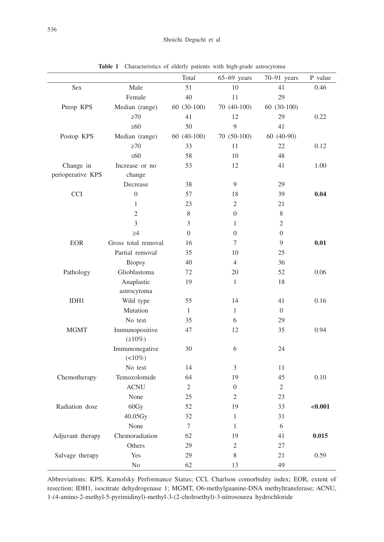|                   |                     | Total          | $65-69$ years  | 70-91 years    | P value |
|-------------------|---------------------|----------------|----------------|----------------|---------|
| Sex               | Male                | 51             | 10             | 41             | 0.46    |
|                   | Female              | 40             | 11             | 29             |         |
| Preop KPS         | Median (range)      | 60 (30-100)    | 70 (40-100)    | 60 (30-100)    |         |
|                   | $\geq 70$           | 41             | 12             | 29             | 0.22    |
|                   | $\leq 60$           | 50             | 9              | 41             |         |
| Postop KPS        | Median (range)      | 60 (40-100)    | 70 (50-100)    | 60 (40-90)     |         |
|                   | $\geq 70$           | 33             | 11             | 22             | 0.12    |
|                   | $\leq 60$           | 58             | 10             | 48             |         |
| Change in         | Increase or no      | 53             | 12             | 41             | 1.00    |
| perioperative KPS | change              |                |                |                |         |
|                   | Decrease            | 38             | 9              | 29             |         |
| <b>CCI</b>        | $\overline{0}$      | 57             | 18             | 39             | 0.04    |
|                   | $\mathbf{1}$        | 23             | $\overline{2}$ | 21             |         |
|                   | $\mathfrak{2}$      | $8\,$          | $\overline{0}$ | $8\,$          |         |
|                   | 3                   | 3              | 1              | $\mathfrak{2}$ |         |
|                   | $\geq 4$            | $\theta$       | $\overline{0}$ | $\overline{0}$ |         |
| <b>EOR</b>        | Gross total removal | 16             | 7              | 9              | 0.01    |
|                   | Partial removal     | 35             | 10             | 25             |         |
|                   | Biopsy              | 40             | $\overline{4}$ | 36             |         |
| Pathology         | Glioblastoma        | 72             | 20             | 52             | 0.06    |
|                   | Anaplastic          | 19             | 1              | 18             |         |
|                   | astrocytoma         |                |                |                |         |
| IDH1              | Wild type           | 55             | 14             | 41             | 0.16    |
|                   | Mutation            | $\mathbf{1}$   | $\mathbf{1}$   | $\overline{0}$ |         |
|                   | No test             | 35             | 6              | 29             |         |
| <b>MGMT</b>       | Immunopositive      | 47             | 12             | 35             | 0.94    |
|                   | $(210\%)$           |                |                |                |         |
|                   | Immunonegative      | 30             | 6              | 24             |         |
|                   | $(10\%)$            |                |                |                |         |
|                   | No test             | 14             | 3              | 11             |         |
| Chemotherapy      | Temozolomide        | 64             | 19             | 45             | 0.10    |
|                   | <b>ACNU</b>         | $\overline{2}$ | $\overline{0}$ | $\mathfrak{2}$ |         |
|                   | None                | 25             | 2              | 23             |         |
| Radiation dose    | 60Gy                | 52             | 19             | 33             | < 0.001 |
|                   | 40.05Gy             | 32             | 1              | 31             |         |
|                   | None                | $\tau$         | $\mathbf{1}$   | $\sqrt{6}$     |         |
| Adjuvant therapy  | Chemoradiation      | 62             | 19             | 41             | 0.015   |
|                   | Others              | 29             | $\mathbf{2}$   | 27             |         |
| Salvage therapy   | Yes                 | 29             | $8\,$          | 21             | 0.59    |
|                   | $\rm No$            | 62             | 13             | 49             |         |

**Table 1** Characteristics of elderly patients with high-grade astrocytoma

Abbreviations: KPS, Karnofsky Performance Status; CCI, Charlson comorbidity index; EOR, extent of resection; IDH1, isocitrate dehydrogenase 1; MGMT, O6-methylguanine-DNA methyltransferase; ACNU, 1-(4-amino-2-methyl-5-pyrimidinyl)-methyl-3-(2-cholroethyl)-3-nitrosourea hydrochloride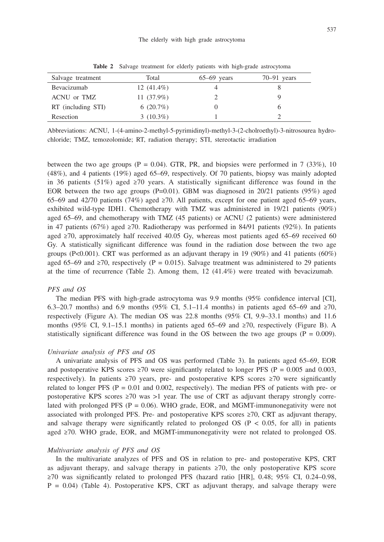| Salvage treatment  | Total         | $65-69$ years | $70-91$ years |
|--------------------|---------------|---------------|---------------|
| Bevacizumab        | 12 $(41.4\%)$ |               |               |
| ACNU or TMZ        | 11 $(37.9\%)$ |               |               |
| RT (including STI) | $6(20.7\%)$   |               |               |
| Resection          | $3(10.3\%)$   |               |               |

**Table 2** Salvage treatment for elderly patients with high-grade astrocytoma

Abbreviations: ACNU, 1-(4-amino-2-methyl-5-pyrimidinyl)-methyl-3-(2-cholroethyl)-3-nitrosourea hydrochloride; TMZ, temozolomide; RT, radiation therapy; STI, stereotactic irradiation

between the two age groups ( $P = 0.04$ ). GTR, PR, and biopsies were performed in 7 (33%), 10 (48%), and 4 patients (19%) aged 65–69, respectively. Of 70 patients, biopsy was mainly adopted in 36 patients (51%) aged  $\geq 70$  years. A statistically significant difference was found in the EOR between the two age groups ( $P=0.01$ ). GBM was diagnosed in 20/21 patients (95%) aged 65–69 and 42/70 patients (74%) aged ≥70. All patients, except for one patient aged 65–69 years, exhibited wild-type IDH1. Chemotherapy with TMZ was administered in 19/21 patients (90%) aged 65–69, and chemotherapy with TMZ (45 patients) or ACNU (2 patients) were administered in 47 patients (67%) aged ≥70. Radiotherapy was performed in 84/91 patients (92%). In patients aged  $\geq$ 70, approximately half received 40.05 Gy, whereas most patients aged 65–69 received 60 Gy. A statistically significant difference was found in the radiation dose between the two age groups (P<0.001). CRT was performed as an adjuvant therapy in 19 (90%) and 41 patients (60%) aged 65–69 and ≥70, respectively (P = 0.015). Salvage treatment was administered to 29 patients at the time of recurrence (Table 2). Among them, 12 (41.4%) were treated with bevacizumab.

#### *PFS and OS*

The median PFS with high-grade astrocytoma was 9.9 months (95% confidence interval [CI], 6.3–20.7 months) and 6.9 months (95% CI, 5.1–11.4 months) in patients aged 65–69 and ≥70, respectively (Figure A). The median OS was 22.8 months (95% CI, 9.9–33.1 months) and 11.6 months (95% CI, 9.1–15.1 months) in patients aged 65–69 and  $\geq$ 70, respectively (Figure B). A statistically significant difference was found in the OS between the two age groups ( $P = 0.009$ ).

#### *Univariate analysis of PFS and OS*

A univariate analysis of PFS and OS was performed (Table 3). In patients aged 65–69, EOR and postoperative KPS scores  $\geq 70$  were significantly related to longer PFS (P = 0.005 and 0.003, respectively). In patients ≥70 years, pre- and postoperative KPS scores ≥70 were significantly related to longer PFS ( $P = 0.01$  and 0.002, respectively). The median PFS of patients with pre- or postoperative KPS scores  $\geq 70$  was  $>1$  year. The use of CRT as adjuvant therapy strongly correlated with prolonged PFS ( $P = 0.06$ ). WHO grade, EOR, and MGMT-immunonegativity were not associated with prolonged PFS. Pre- and postoperative KPS scores ≥70, CRT as adjuvant therapy, and salvage therapy were significantly related to prolonged OS ( $P < 0.05$ , for all) in patients aged ≥70. WHO grade, EOR, and MGMT-immunonegativity were not related to prolonged OS.

## *Multivariate analysis of PFS and OS*

In the multivariate analyzes of PFS and OS in relation to pre- and postoperative KPS, CRT as adjuvant therapy, and salvage therapy in patients  $\geq 70$ , the only postoperative KPS score ≥70 was significantly related to prolonged PFS (hazard ratio [HR], 0.48; 95% CI, 0.24–0.98,  $P = 0.04$ ) (Table 4). Postoperative KPS, CRT as adjuvant therapy, and salvage therapy were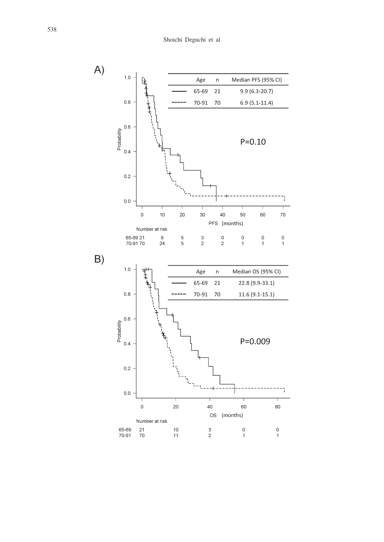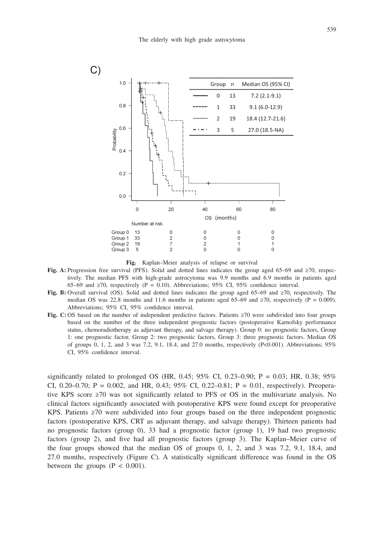

**Fig.** Kaplan–Meier analysis of relapse or survival

- **Fig. A:** Progression free survival (PFS). Solid and dotted lines indicates the group aged 65–69 and ≥70, respectively. The median PFS with high-grade astrocytoma was 9.9 months and 6.9 months in patients aged 65–69 and ≥70, respectively (P = 0.10). Abbreviations; 95% CI, 95% confidence interval.
- **Fig. B:** Overall survival (OS). Solid and dotted lines indicates the group aged 65–69 and ≥70, respectively. The median OS was 22.8 months and 11.6 months in patients aged 65–69 and ≥70, respectively ( $P = 0.009$ ). Abbreviations; 95% CI, 95% confidence interval.
- **Fig. C:** OS based on the number of independent predictive factors. Patients ≥70 were subdivided into four groups based on the number of the three independent prognostic factors (postoperative Karnofsky performance status, chemoradiotherapy as adjuvant therapy, and salvage therapy). Group 0: no prognostic factors, Group 1: one prognostic factor, Group 2: two prognostic factors, Group 3: three prognostic factors. Median OS of groups 0, 1, 2, and 3 was 7.2, 9.1, 18.4, and 27.0 months, respectively  $(P<0.001)$ . Abbreviations; 95% CI, 95% confidence interval.

significantly related to prolonged OS (HR, 0.45; 95% CI, 0.23–0.90; P = 0.03; HR, 0.38; 95% CI, 0.20–0.70; P = 0.002, and HR, 0.43; 95% CI, 0.22–0.81; P = 0.01, respectively). Preoperative KPS score ≥70 was not significantly related to PFS or OS in the multivariate analysis. No clinical factors significantly associated with postoperative KPS were found except for preoperative KPS. Patients ≥70 were subdivided into four groups based on the three independent prognostic factors (postoperative KPS, CRT as adjuvant therapy, and salvage therapy). Thirteen patients had no prognostic factors (group 0), 33 had a prognostic factor (group 1), 19 had two prognostic factors (group 2), and five had all prognostic factors (group 3). The Kaplan–Meier curve of the four groups showed that the median OS of groups 0, 1, 2, and 3 was 7.2, 9.1, 18.4, and 27.0 months, respectively (Figure C). A statistically significant difference was found in the OS between the groups  $(P < 0.001)$ .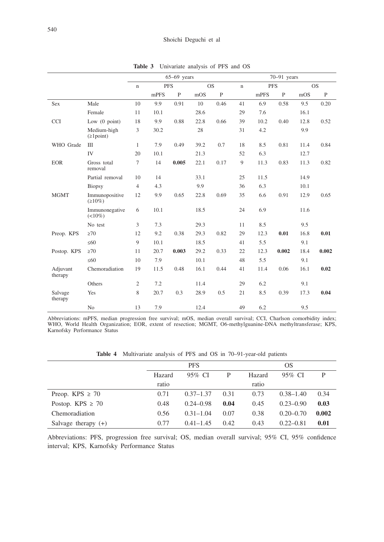|                     |                                | $65-69$ years             |      |              |      |                          | $70-91$ years |            |              |           |              |
|---------------------|--------------------------------|---------------------------|------|--------------|------|--------------------------|---------------|------------|--------------|-----------|--------------|
|                     |                                | <b>PFS</b><br>$\mathbf n$ |      |              |      | <b>OS</b><br>$\mathbf n$ |               | <b>PFS</b> |              | <b>OS</b> |              |
|                     |                                |                           | mPFS | $\mathbf{P}$ | mOS  | $\mathbf{P}$             |               | mPFS       | $\mathbf{P}$ | mOS       | $\mathbf{P}$ |
| Sex                 | Male                           | 10                        | 9.9  | 0.91         | 10   | 0.46                     | 41            | 6.9        | 0.58         | 9.5       | 0.20         |
|                     | Female                         | 11                        | 10.1 |              | 28.6 |                          | 29            | 7.6        |              | 16.1      |              |
| <b>CCI</b>          | Low $(0$ point)                | 18                        | 9.9  | 0.88         | 22.8 | 0.66                     | 39            | 10.2       | 0.40         | 12.8      | 0.52         |
|                     | Medium-high<br>$(\geq1$ point) | 3                         | 30.2 |              | 28   |                          | 31            | 4.2        |              | 9.9       |              |
| WHO Grade           | IΠ                             | $\mathbf{1}$              | 7.9  | 0.49         | 39.2 | 0.7                      | 18            | 8.5        | 0.81         | 11.4      | 0.84         |
|                     | IV                             | 20                        | 10.1 |              | 21.3 |                          | 52            | 6.3        |              | 12.7      |              |
| <b>EOR</b>          | Gross total<br>removal         | 7                         | 14   | 0.005        | 22.1 | 0.17                     | 9             | 11.3       | 0.83         | 11.3      | 0.82         |
|                     | Partial removal                | 10                        | 14   |              | 33.1 |                          | 25            | 11.5       |              | 14.9      |              |
|                     | Biopsy                         | $\overline{4}$            | 4.3  |              | 9.9  |                          | 36            | 6.3        |              | 10.1      |              |
| <b>MGMT</b>         | Immunopositive<br>$(210\%)$    | 12                        | 9.9  | 0.65         | 22.8 | 0.69                     | 35            | 6.6        | 0.91         | 12.9      | 0.65         |
|                     | Immunonegative<br>$(10\%)$     | 6                         | 10.1 |              | 18.5 |                          | 24            | 6.9        |              | 11.6      |              |
|                     | No test                        | 3                         | 7.3  |              | 29.3 |                          | 11            | 8.5        |              | 9.5       |              |
| Preop. KPS          | $\geq 70$                      | 12                        | 9.2  | 0.38         | 29.3 | 0.82                     | 29            | 12.3       | 0.01         | 16.8      | 0.01         |
|                     | $\leq 60$                      | 9                         | 10.1 |              | 18.5 |                          | 41            | 5.5        |              | 9.1       |              |
| Postop. KPS         | $\geq 70$                      | 11                        | 20.7 | 0.003        | 29.2 | 0.33                     | 22            | 12.3       | 0.002        | 18.4      | 0.002        |
|                     | $\leq 60$                      | 10                        | 7.9  |              | 10.1 |                          | 48            | 5.5        |              | 9.1       |              |
| Adjuvant<br>therapy | Chemoradiation                 | 19                        | 11.5 | 0.48         | 16.1 | 0.44                     | 41            | 11.4       | 0.06         | 16.1      | 0.02         |
|                     | Others                         | 2                         | 7.2  |              | 11.4 |                          | 29            | 6.2        |              | 9.1       |              |
| Salvage<br>therapy  | Yes                            | 8                         | 20.7 | 0.3          | 28.9 | 0.5                      | 21            | 8.5        | 0.39         | 17.3      | 0.04         |
|                     | No                             | 13                        | 7.9  |              | 12.4 |                          | 49            | 6.2        |              | 9.5       |              |

**Table 3** Univariate analysis of PFS and OS

Abbreviations: mPFS, median progression free survival; mOS, median overall survival; CCI, Charlson comorbidity index; WHO, World Health Organization; EOR, extent of resection; MGMT, O6-methylguanine-DNA methyltransferase; KPS, Karnofsky Performance Status

**Table 4** Multivariate analysis of PFS and OS in 70–91-year-old patients

|                       |        | <b>PFS</b>    |      | OS     |               |       |  |
|-----------------------|--------|---------------|------|--------|---------------|-------|--|
|                       | Hazard | 95% CI        | P    | Hazard | 95% CI        | P     |  |
|                       | ratio  |               |      | ratio  |               |       |  |
| Preop. KPS $\geq 70$  | 0.71   | $0.37 - 1.37$ | 0.31 | 0.73   | $0.38 - 1.40$ | 0.34  |  |
| Postop. KPS $\geq 70$ | 0.48   | $0.24 - 0.98$ | 0.04 | 0.45   | $0.23 - 0.90$ | 0.03  |  |
| Chemoradiation        | 0.56   | $0.31 - 1.04$ | 0.07 | 0.38   | $0.20 - 0.70$ | 0.002 |  |
| Salvage therapy $(+)$ | 0.77   | $0.41 - 1.45$ | 0.42 | 0.43   | $0.22 - 0.81$ | 0.01  |  |

Abbreviations: PFS, progression free survival; OS, median overall survival; 95% CI, 95% confidence interval; KPS, Karnofsky Performance Status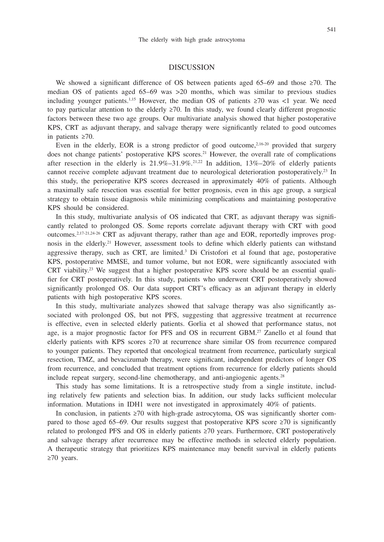#### 541

## DISCUSSION

We showed a significant difference of OS between patients aged 65–69 and those  $\geq 70$ . The median OS of patients aged 65–69 was >20 months, which was similar to previous studies including younger patients.<sup>1,15</sup> However, the median OS of patients  $\geq 70$  was <1 year. We need to pay particular attention to the elderly ≥70. In this study, we found clearly different prognostic factors between these two age groups. Our multivariate analysis showed that higher postoperative KPS, CRT as adjuvant therapy, and salvage therapy were significantly related to good outcomes in patients ≥70.

Even in the elderly, EOR is a strong predictor of good outcome, $2,16-20$  provided that surgery does not change patients' postoperative KPS scores.<sup>21</sup> However, the overall rate of complications after resection in the elderly is  $21.9\% - 31.9\%$ .<sup>21,22</sup> In addition,  $13\% - 20\%$  of elderly patients cannot receive complete adjuvant treatment due to neurological deterioration postoperatively.<sup>23</sup> In this study, the perioperative KPS scores decreased in approximately 40% of patients. Although a maximally safe resection was essential for better prognosis, even in this age group, a surgical strategy to obtain tissue diagnosis while minimizing complications and maintaining postoperative KPS should be considered.

In this study, multivariate analysis of OS indicated that CRT, as adjuvant therapy was significantly related to prolonged OS. Some reports correlate adjuvant therapy with CRT with good outcomes. $2.17-21.24-26$  CRT as adjuvant therapy, rather than age and EOR, reportedly improves prognosis in the elderly.<sup>21</sup> However, assessment tools to define which elderly patients can withstand aggressive therapy, such as CRT, are limited.<sup>3</sup> Di Cristofori et al found that age, postoperative KPS, postoperative MMSE, and tumor volume, but not EOR, were significantly associated with CRT viability.<sup>23</sup> We suggest that a higher postoperative KPS score should be an essential qualifier for CRT postoperatively. In this study, patients who underwent CRT postoperatively showed significantly prolonged OS. Our data support CRT's efficacy as an adjuvant therapy in elderly patients with high postoperative KPS scores.

In this study, multivariate analyzes showed that salvage therapy was also significantly associated with prolonged OS, but not PFS, suggesting that aggressive treatment at recurrence is effective, even in selected elderly patients. Gorlia et al showed that performance status, not age, is a major prognostic factor for PFS and OS in recurrent GBM.27 Zanello et al found that elderly patients with KPS scores ≥70 at recurrence share similar OS from recurrence compared to younger patients. They reported that oncological treatment from recurrence, particularly surgical resection, TMZ, and bevacizumab therapy, were significant, independent predictors of longer OS from recurrence, and concluded that treatment options from recurrence for elderly patients should include repeat surgery, second-line chemotherapy, and anti-angiogenic agents.28

This study has some limitations. It is a retrospective study from a single institute, including relatively few patients and selection bias. In addition, our study lacks sufficient molecular information. Mutations in IDH1 were not investigated in approximately 40% of patients.

In conclusion, in patients ≥70 with high-grade astrocytoma, OS was significantly shorter compared to those aged 65–69. Our results suggest that postoperative KPS score  $\geq 70$  is significantly related to prolonged PFS and OS in elderly patients ≥70 years. Furthermore, CRT postoperatively and salvage therapy after recurrence may be effective methods in selected elderly population. A therapeutic strategy that prioritizes KPS maintenance may benefit survival in elderly patients ≥70 years.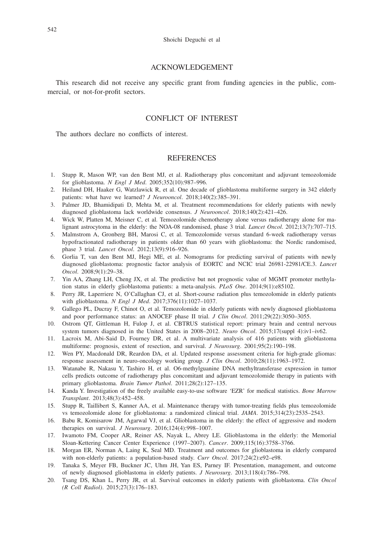## ACKNOWLEDGEMENT

This research did not receive any specific grant from funding agencies in the public, commercial, or not-for-profit sectors.

# CONFLICT OF INTEREST

The authors declare no conflicts of interest.

## **REFERENCES**

- 1. Stupp R, Mason WP, van den Bent MJ, et al. Radiotherapy plus concomitant and adjuvant temozolomide for glioblastoma. *N Engl J Med*. 2005;352(10):987–996.
- 2. Heiland DH, Haaker G, Watzlawick R, et al. One decade of glioblastoma multiforme surgery in 342 elderly patients: what have we learned? *J Neurooncol*. 2018;140(2):385–391.
- 3. Palmer JD, Bhamidipati D, Mehta M, et al. Treatment recommendations for elderly patients with newly diagnosed glioblastoma lack worldwide consensus. *J Neurooncol*. 2018;140(2):421–426.
- 4. Wick W, Platten M, Meisner C, et al. Temozolomide chemotherapy alone versus radiotherapy alone for malignant astrocytoma in the elderly: the NOA-08 randomised, phase 3 trial. *Lancet Oncol*. 2012;13(7):707–715.
- 5. Malmstrom A, Gronberg BH, Marosi C, et al. Temozolomide versus standard 6-week radiotherapy versus hypofractionated radiotherapy in patients older than 60 years with glioblastoma: the Nordic randomised, phase 3 trial. *Lancet Oncol*. 2012;13(9):916–926.
- 6. Gorlia T, van den Bent MJ, Hegi ME, et al. Nomograms for predicting survival of patients with newly diagnosed glioblastoma: prognostic factor analysis of EORTC and NCIC trial 26981-22981/CE.3. *Lancet Oncol*. 2008;9(1):29–38.
- 7. Yin AA, Zhang LH, Cheng JX, et al. The predictive but not prognostic value of MGMT promoter methylation status in elderly glioblastoma patients: a meta-analysis. *PLoS One*. 2014;9(1):e85102.
- 8. Perry JR, Laperriere N, O'Callaghan CJ, et al. Short-course radiation plus temozolomide in elderly patients with glioblastoma. *N Engl J Med*. 2017;376(11):1027–1037.
- 9. Gallego PL, Ducray F, Chinot O, et al. Temozolomide in elderly patients with newly diagnosed glioblastoma and poor performance status: an ANOCEF phase II trial. *J Clin Oncol*. 2011;29(22):3050–3055.
- 10. Ostrom QT, Gittleman H, Fulop J, et al. CBTRUS statistical report: primary brain and central nervous system tumors diagnosed in the United States in 2008–2012. *Neuro Oncol*. 2015;17(suppl 4):iv1-iv62.
- 11. Lacroix M, Abi-Said D, Fourney DR, et al. A multivariate analysis of 416 patients with glioblastoma multiforme: prognosis, extent of resection, and survival. *J Neurosurg*. 2001;95(2):190–198.
- 12. Wen PY, Macdonald DR, Reardon DA, et al. Updated response assessment criteria for high-grade gliomas: response assessment in neuro-oncology working group. *J Clin Oncol*. 2010;28(11):1963–1972.
- 13. Watanabe R, Nakasu Y, Tashiro H, et al. O6-methylguanine DNA methyltransferase expression in tumor cells predicts outcome of radiotherapy plus concomitant and adjuvant temozolomide therapy in patients with primary glioblastoma. *Brain Tumor Pathol*. 2011;28(2):127–135.
- 14. Kanda Y. Investigation of the freely available easy-to-use software 'EZR' for medical statistics. *Bone Marrow Transplant*. 2013;48(3):452–458.
- 15. Stupp R, Taillibert S, Kanner AA, et al. Maintenance therapy with tumor-treating fields plus temozolomide vs temozolomide alone for glioblastoma: a randomized clinical trial. *JAMA*. 2015;314(23):2535–2543.
- 16. Babu R, Komisarow JM, Agarwal VJ, et al. Glioblastoma in the elderly: the effect of aggressive and modern therapies on survival. *J Neurosurg*. 2016;124(4):998–1007.
- 17. Iwamoto FM, Cooper AR, Reiner AS, Nayak L, Abrey LE. Glioblastoma in the elderly: the Memorial Sloan-Kettering Cancer Center Experience (1997–2007). *Cancer*. 2009;115(16):3758–3766.
- 18. Morgan ER, Norman A, Laing K, Seal MD. Treatment and outcomes for glioblastoma in elderly compared with non-elderly patients: a population-based study. *Curr Oncol*. 2017;24(2):e92–e98.
- 19. Tanaka S, Meyer FB, Buckner JC, Uhm JH, Yan ES, Parney IF. Presentation, management, and outcome of newly diagnosed glioblastoma in elderly patients. *J Neurosurg*. 2013;118(4):786–798.
- 20. Tsang DS, Khan L, Perry JR, et al. Survival outcomes in elderly patients with glioblastoma. *Clin Oncol (R Coll Radiol)*. 2015;27(3):176–183.